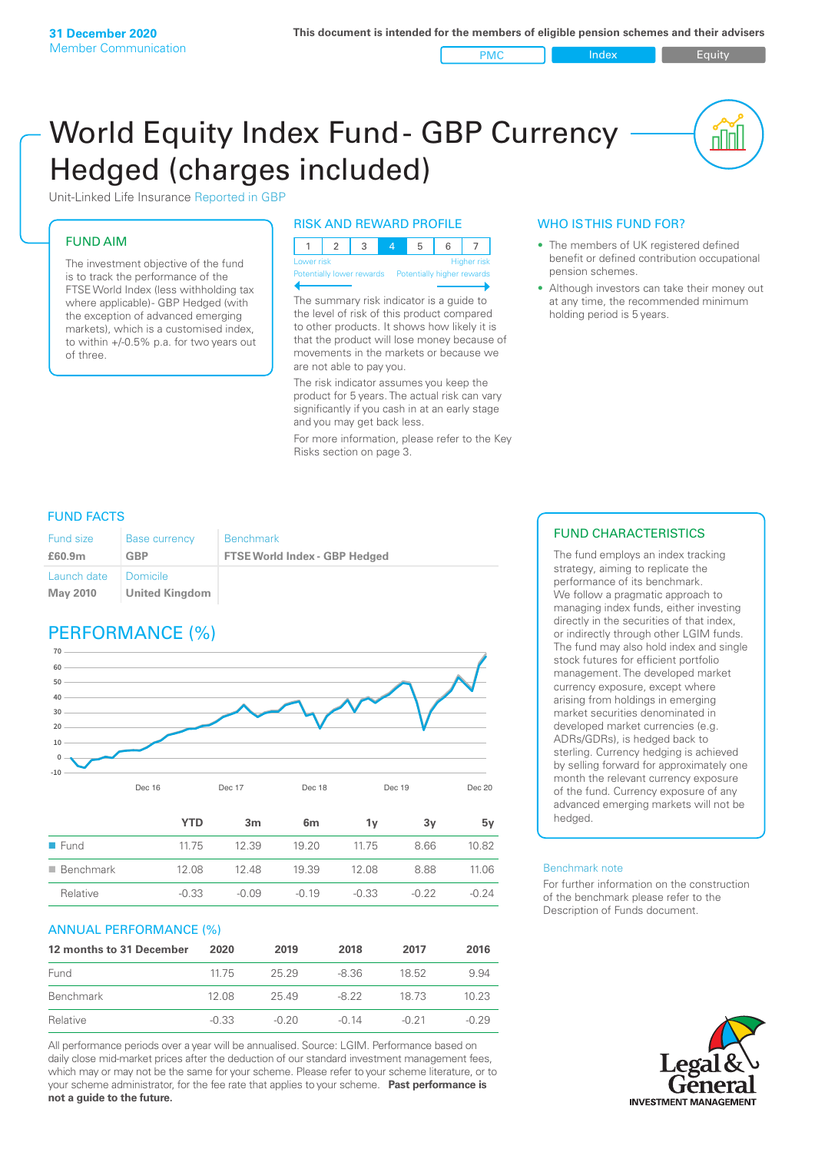PMC Index PMC Equity

nnl

# World Equity Index Fund- GBP Currency Hedged (charges included)



# FUND AIM

The investment objective of the fund is to track the performance of the FTSE World Index (less withholding tax where applicable) - GBP Hedged (with the exception of advanced emerging markets), which is a customised index, to within +/‑0.5% p.a. for two years out of three.

# RISK AND REWARD PROFILE

| Lower risk |  |  |  | <b>Higher</b> risk |
|------------|--|--|--|--------------------|

Potentially lower rewards

The summary risk indicator is a guide to the level of risk of this product compared to other products. It shows how likely it is that the product will lose money because of movements in the markets or because we are not able to pay you.

The risk indicator assumes you keep the product for 5 years. The actual risk can vary significantly if you cash in at an early stage and you may get back less.

For more information, please refer to the Key Risks section on page 3.

# WHO IS THIS FUND FOR?

- The members of UK registered defined benefit or defined contribution occupational pension schemes.
- Although investors can take their money out at any time, the recommended minimum holding period is 5 years.

# FUND FACTS

| <b>Fund size</b>               | <b>Base currency</b>       | <b>Benchmark</b>                     |
|--------------------------------|----------------------------|--------------------------------------|
| £60.9m                         | <b>GBP</b>                 | <b>FTSE World Index - GBP Hedged</b> |
| Launch date<br><b>May 2010</b> | Domicile<br>United Kingdom |                                      |

# PERFORMANCE (%)



|                          | <b>YTD</b> | 3m      | 6 <sub>m</sub> | 1v      | З٧      | 5v      |
|--------------------------|------------|---------|----------------|---------|---------|---------|
| $\blacksquare$ Fund      | 1175       | 12.39   | 19.20          | 1175    | 8.66    | 10.82   |
| $\blacksquare$ Benchmark | 12.08      | 12.48   | 19.39          | 12.08   | 8.88    | 11.06   |
| Relative                 | $-0.33$    | $-0.09$ | $-0.19$        | $-0.33$ | $-0.22$ | $-0.24$ |

# ANNUAL PERFORMANCE (%)

| 12 months to 31 December | 2020    | 2019    | 2018  | 2017    | 2016    |
|--------------------------|---------|---------|-------|---------|---------|
| Fund                     | 11.75   | 25 29   | -8.36 | 18.52   | 994     |
| Benchmark                | 12.08   | 25.49   | -8.22 | 18 73   | 10.23   |
| Relative                 | $-0.33$ | $-0.20$ | -0.14 | $-0.21$ | $-0.29$ |

All performance periods over a year will be annualised. Source: LGIM. Performance based on daily close mid-market prices after the deduction of our standard investment management fees, which may or may not be the same for your scheme. Please refer to your scheme literature, or to your scheme administrator, for the fee rate that applies to your scheme. **Past performance is not a guide to the future.**

# FUND CHARACTERISTICS

The fund employs an index tracking strategy, aiming to replicate the performance of its benchmark. We follow a pragmatic approach to managing index funds, either investing directly in the securities of that index, or indirectly through other LGIM funds. The fund may also hold index and single stock futures for efficient portfolio management. The developed market currency exposure, except where arising from holdings in emerging market securities denominated in developed market currencies (e.g. ADRs/GDRs), is hedged back to sterling. Currency hedging is achieved by selling forward for approximately one month the relevant currency exposure of the fund. Currency exposure of any advanced emerging markets will not be hedged.

#### Benchmark note

For further information on the construction of the benchmark please refer to the Description of Funds document.

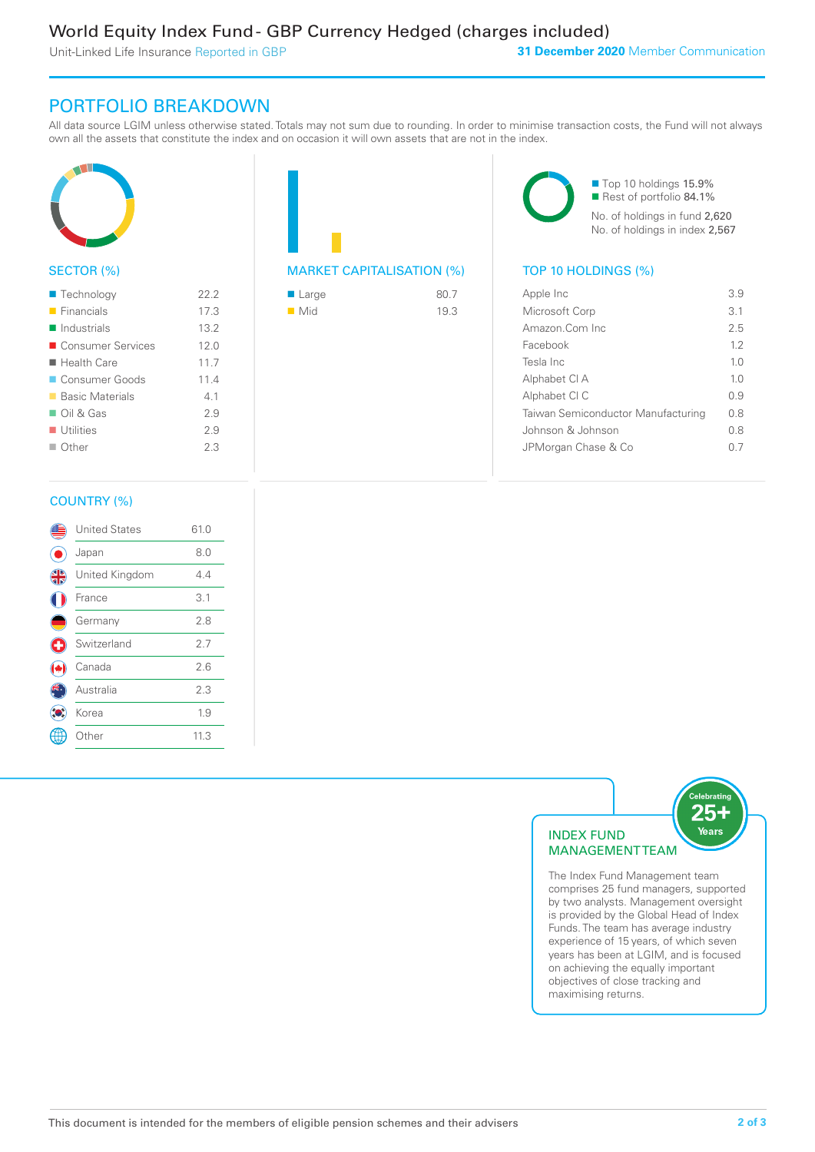Unit-Linked Life Insurance Reported in GBP

# PORTFOLIO BREAKDOWN

All data source LGIM unless otherwise stated. Totals may not sum due to rounding. In order to minimise transaction costs, the Fund will not always own all the assets that constitute the index and on occasion it will own assets that are not in the index.



# SECTOR (%)

| $\blacksquare$ Technology  | 22.2 |
|----------------------------|------|
| $\blacksquare$ Financials  | 17.3 |
| $\blacksquare$ Industrials | 13.2 |
| ■ Consumer Services        | 120  |
| ■ Health Care              | 117  |
| Consumer Goods             | 11.4 |
| ■ Basic Materials          | 41   |
| $\Box$ Oil & Gas           | 2.9  |
| $\blacksquare$ Utilities   | 2.9  |
| $\Box$ Other               | 2.3  |
|                            |      |



| $\blacksquare$ Large | 80.7 |
|----------------------|------|
| $\blacksquare$ Mid   | 19.3 |

■ Top 10 holdings 15.9% Rest of portfolio 84.1% No. of holdings in fund 2,620 No. of holdings in index 2,567

| Apple Inc                          | 39             |
|------------------------------------|----------------|
| Microsoft Corp                     | 3.1            |
| Amazon.Com Inc.                    | 2.5            |
| Facebook                           | 12             |
| Tesla Inc                          | 10             |
| Alphabet CI A                      | 1 <sub>0</sub> |
| Alphabet CI C                      | 09             |
| Taiwan Semiconductor Manufacturing | 0 S            |
| Johnson & Johnson                  | 08             |
| JPMorgan Chase & Co                |                |
|                                    |                |

# COUNTRY (%)

|           | <b>United States</b> | 61.0 |  |
|-----------|----------------------|------|--|
|           | Japan                | 8.0  |  |
| <b>43</b> | United Kingdom       | 4.4  |  |
|           | France               | 3.1  |  |
|           | Germany              | 2.8  |  |
| G         | Switzerland          | 2.7  |  |
|           | Canada               | 2.6  |  |
|           | Australia            | 2.3  |  |
|           | Korea                | 1.9  |  |
|           | Other                | 11.3 |  |
|           |                      |      |  |



comprises 25 fund managers, supported by two analysts. Management oversight is provided by the Global Head of Index Funds. The team has average industry experience of 15 years, of which seven years has been at LGIM, and is focused on achieving the equally important objectives of close tracking and maximising returns.